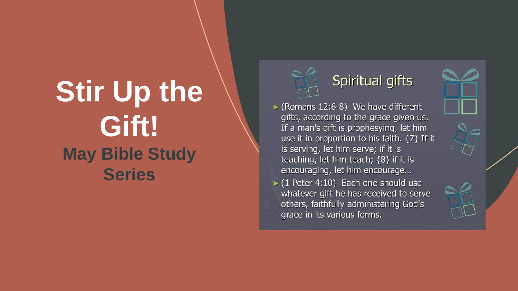### **Stir Up the Gift! May Bible Study Series**



#### Spiritual gifts

- $\triangleright$  (Romans 12:6-8) We have different gifts, according to the grace given us. If a man's gift is prophesying, let him use it in proportion to his faith. {7} If it is serving, let him serve; if it is teaching, let him teach;  ${8}$  if it is encouraging, let him encourage...
- $(1$  Peter 4:10) Each one should use whatever gift he has received to serve others, faithfully administering God's grace in its various forms.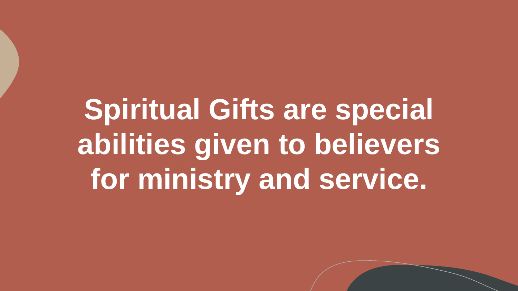**Spiritual Gifts are special abilities given to believers for ministry and service.**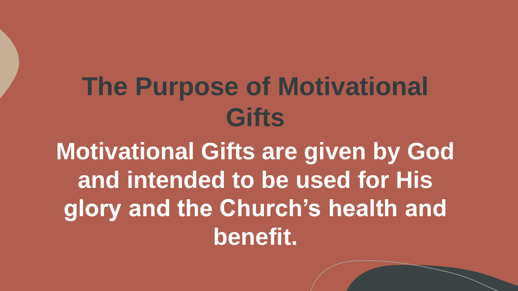## **The Purpose of Motivational Gifts**

**Motivational Gifts are given by God and intended to be used for His glory and the Church's health and benefit.**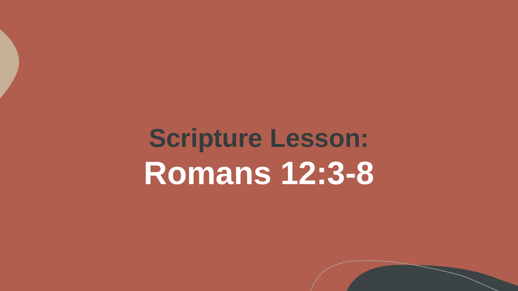**Scripture Lesson: Romans 12:3-8**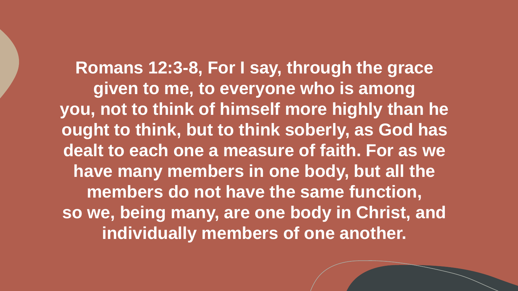**Romans 12:3-8, For I say, through the grace given to me, to everyone who is among you, not to think of himself more highly than he ought to think, but to think soberly, as God has dealt to each one a measure of faith. For as we have many members in one body, but all the members do not have the same function, so we, being many, are one body in Christ, and individually members of one another.**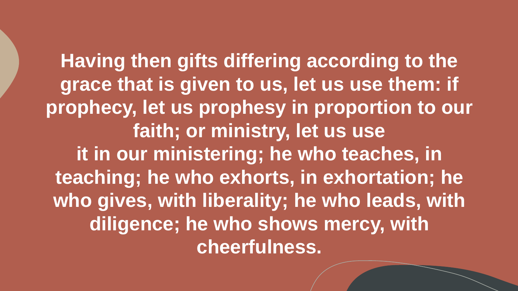**Having then gifts differing according to the grace that is given to us, let us use them: if prophecy, let us prophesy in proportion to our faith; or ministry, let us use it in our ministering; he who teaches, in teaching; he who exhorts, in exhortation; he who gives, with liberality; he who leads, with diligence; he who shows mercy, with cheerfulness.**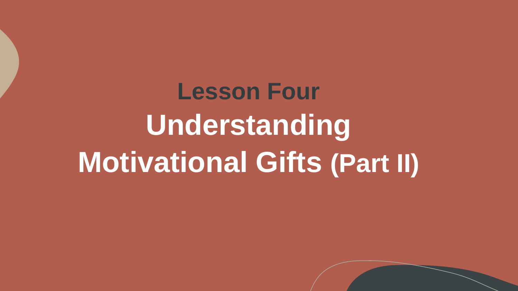# **Lesson Four Understanding Motivational Gifts (Part II)**

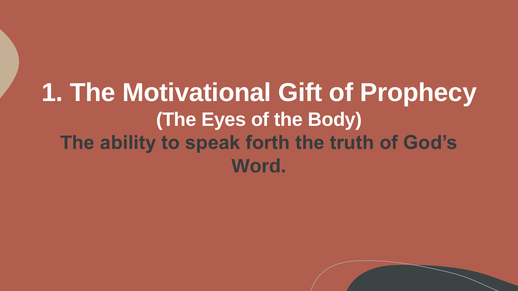#### **1. The Motivational Gift of Prophecy (The Eyes of the Body) The ability to speak forth the truth of God's Word.**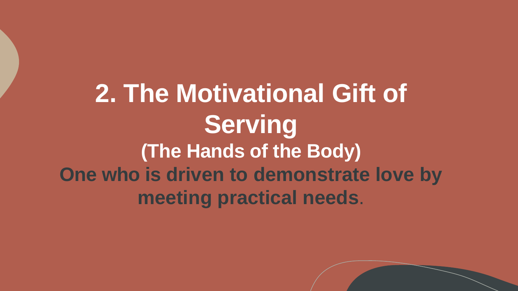#### **2. The Motivational Gift of Serving (The Hands of the Body) One who is driven to demonstrate love by meeting practical needs**.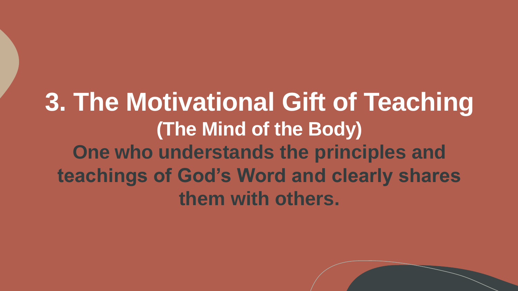#### **3. The Motivational Gift of Teaching (The Mind of the Body) One who understands the principles and teachings of God's Word and clearly shares them with others.**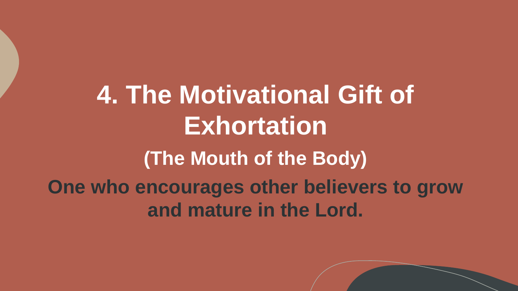**4. The Motivational Gift of Exhortation (The Mouth of the Body) One who encourages other believers to grow and mature in the Lord.**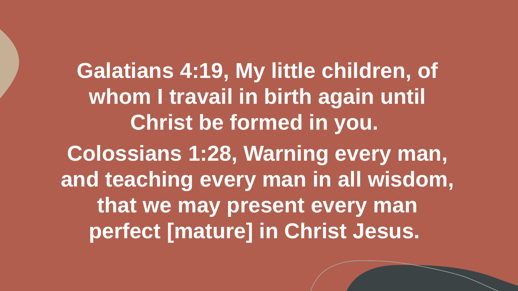**Galatians 4:19, My little children, of whom I travail in birth again until Christ be formed in you. Colossians 1:28, Warning every man, and teaching every man in all wisdom, that we may present every man perfect [mature] in Christ Jesus.**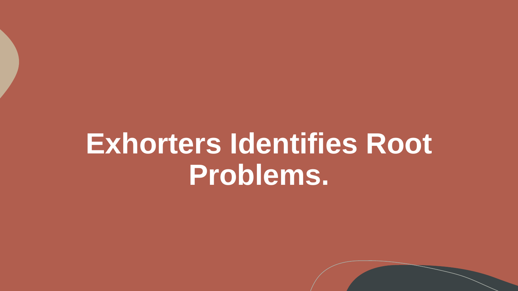# **Exhorters Identifies Root Problems.**

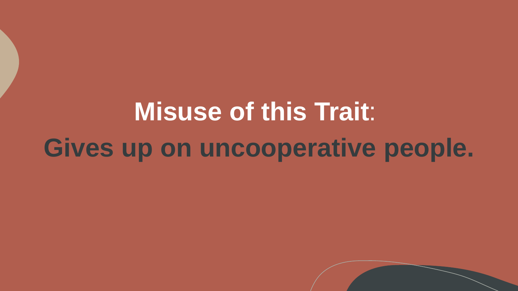# **Misuse of this Trait**: **Gives up on uncooperative people.**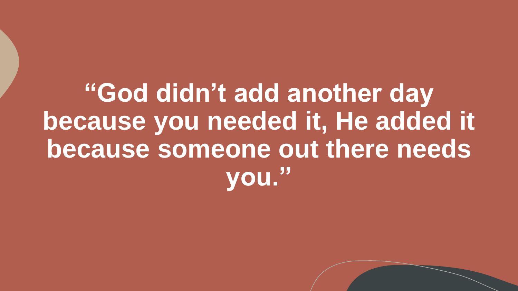**"God didn't add another day because you needed it, He added it because someone out there needs you."**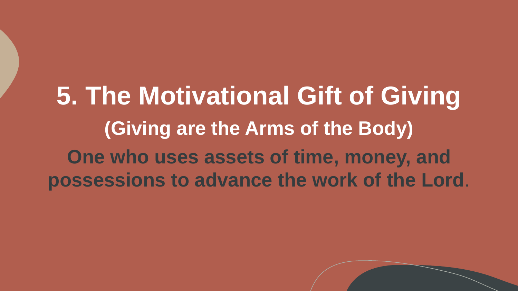### **5. The Motivational Gift of Giving (Giving are the Arms of the Body) One who uses assets of time, money, and possessions to advance the work of the Lord**.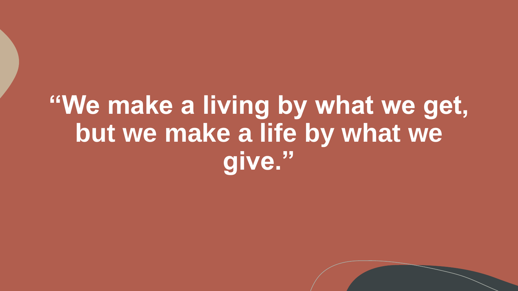## **"We make a living by what we get, but we make a life by what we give."**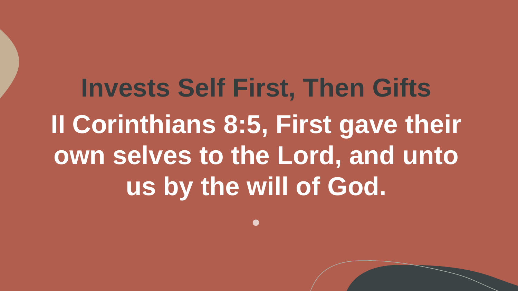**Invests Self First, Then Gifts II Corinthians 8:5, First gave their own selves to the Lord, and unto us by the will of God.**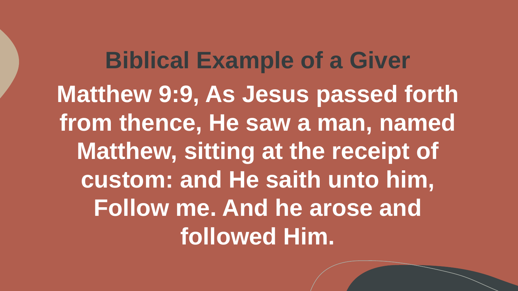**Biblical Example of a Giver Matthew 9:9, As Jesus passed forth**  from thence, He saw a man, named **Matthew, sitting at the receipt of custom: and He saith unto him, Follow me. And he arose and followed Him.**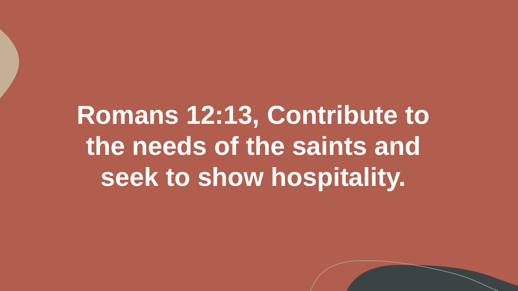# **Romans 12:13, Contribute to the needs of the saints and seek to show hospitality.**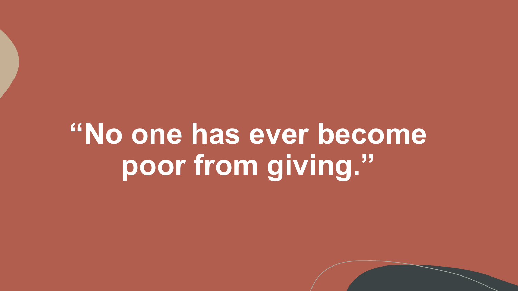**"No one has ever become poor from giving."**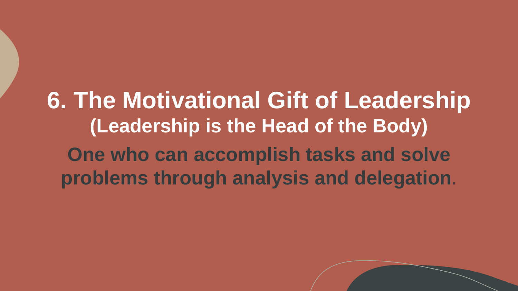#### **6. The Motivational Gift of Leadership (Leadership is the Head of the Body) One who can accomplish tasks and solve problems through analysis and delegation**.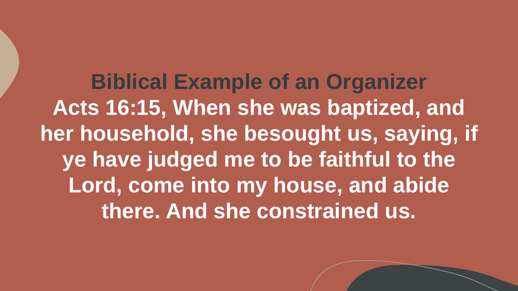**Biblical Example of an Organizer** Acts 16:15, When she was baptized, and **her household, she besought us, saying, if ye have judged me to be faithful to the Lord, come into my house, and abide there. And she constrained us.**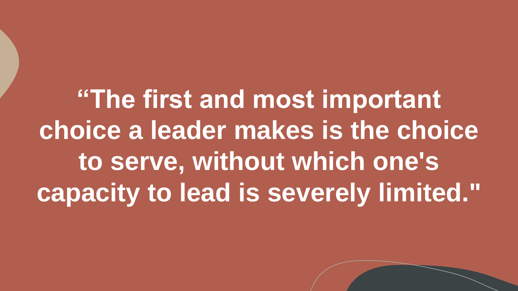**"The first and most important choice a leader makes is the choice to serve, without which one's capacity to lead is severely limited."**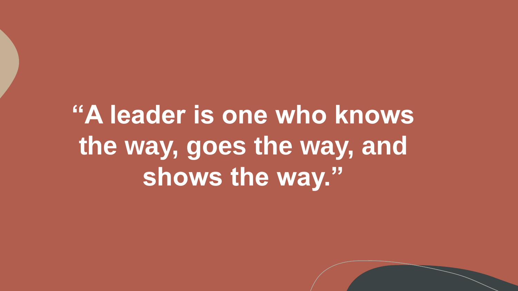## **"A leader is one who knows the way, goes the way, and shows the way."**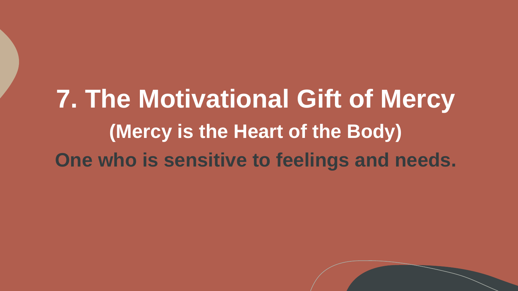## **7. The Motivational Gift of Mercy (Mercy is the Heart of the Body) One who is sensitive to feelings and needs.**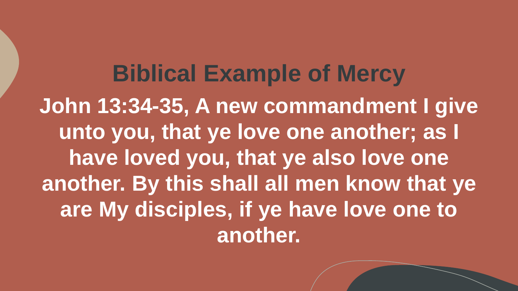**Biblical Example of Mercy John 13:34-35, A new commandment I give unto you, that ye love one another; as I have loved you, that ye also love one another. By this shall all men know that ye are My disciples, if ye have love one to another.**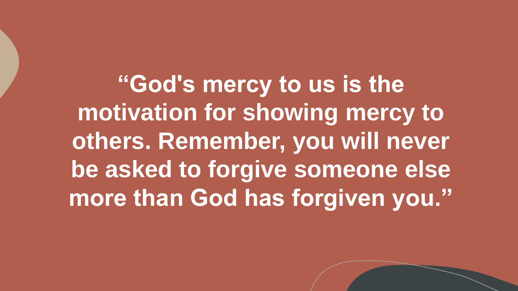**"God's mercy to us is the motivation for showing mercy to others. Remember, you will never be asked to forgive someone else more than God has forgiven you."**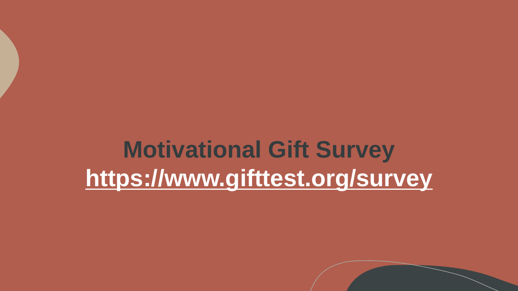### **Motivational Gift Survey <https://www.gifttest.org/survey>**